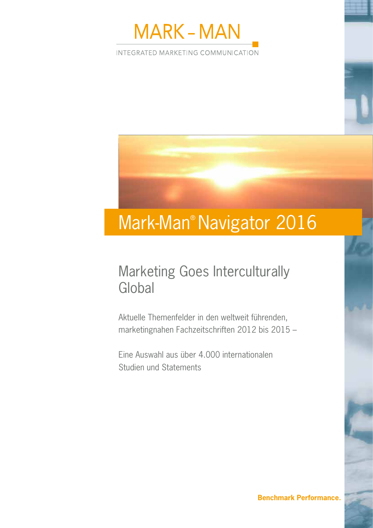

INTEGRATED MARKETING COMMUNICATION

# Mark-Man® Navigator 2016

## Marketing Goes Interculturally Global

Aktuelle Themenfelder in den weltweit führenden, marketingnahen Fachzeitschriften 2012 bis 2015 –

Eine Auswahl aus über 4.000 internationalen Studien und Statements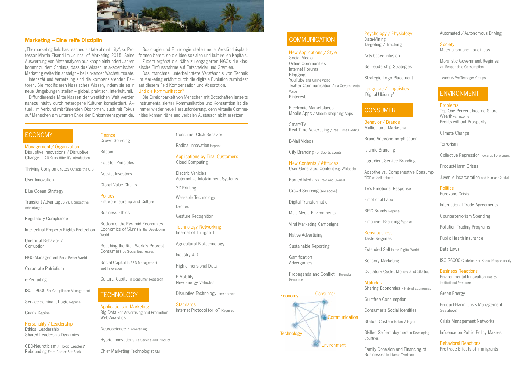### ECONOMY

Management / Organization Disruptive Innovations / Disruptive Change … 20 Years After It's Introduction

Thriving Conglomerates Outside the U.S.

User Innovation

Blue Ocean Strategy

Transient Advantages vs. Competitive Advantages

Regulatory Compliance

Intellectual Property Rights Protection

Unethical Behavior / Corruption

NGO-Management For a Better World

Corporate Patriotism

e-Recruiting

ISO 19600 For Compliance Management

Service-dominant Logic Reprise

Guanxi Reprise

Personality / Leadership Ethical Leadership Shared Leadership Dynamics

**Standards** Internet Protocol for IoT Required

## **COMMUNICATION**

CEO-Neuroticism / 'Toxic Leaders' Rebounding From Career Set Back

**Politics** Entrepreneurship and Culture Consumer Click Behavior

Radical Innovation Reprise

Applications by Final Customers Cloud Computing

Electric Vehicles Automotive Infotainment Systems

3D-Printing

Wearable Technology

Drones

Gesture Recognition

Technology Networking Internet of Things IoT

Agricultural Biotechnology

Industry 4.0

High-dimensional Data

E-Mobility New Energy Vehicles

Disruptive Technology (see above)

Finance

Crowd Sourcing Bitcoin

Equator Principles

Activist Investors

Global Value Chains

Business Ethics

Bottom-of-the-Pyramid Economics Economics of Slums In the Developing World

Reaching the Rich World's Poorest Consumers by Social Businesses

Social Capital in R&D Management and Innovation

**Sensuousness** Taste Regimes

Cultural Capital in Consumer Research

## **TECHNOLOGY**

Applications in Marketing Big Data For Advertising and Promotion Web-Analytics

Neuroscience In Advertising

Hybrid Innovations i.e Service and Product

**Society** Materialism and Loneliness

Chief Marketing Technologist CMT

### New Applications / Style

Social Media Online Communities Internet Forums Blogging YouTube and Online Video Twitter Communication As a Governmental Voice Pinterest

Electronic Marketplaces Mobile Apps / Mobile Shopping Apps

Smart-TV Real Time Advertising / Real Time Bidding

E-Mail Videos

City Branding For Sports Events

New Contents / Attitudes User Generated Content e.g. Wikipedia

Earned Media vs. Paid and Owned

Crowd Sourcing (see above)

Digital Transformation

. The marketing field has reached a state of maturity", so Professor Martin Eisend im Journal of Marketing 2015. Seine Auswertung von Metaanalysen aus knapp einhundert Jahren kommt zu dem Schluss, dass das Wissen im akademischen Marketing weiterhin ansteigt – bei sinkender Wachstumsrate.

Multi-Media Environments

Viral Marketing Campaigns

Native Advertising

Sustainable Reporting

Gamification

Advergames

Propaganda and Conflict in Rwandan Genocide

Psychology / Physiology Data-Mining

Targeting / Tracking

Arts-based Infusion

Self-leadership Strategies

Strategic Logo Placement

Language / Linguistics 'Digital Ubiquity'

## **CONSUMER**

Behavior / Brands Multicultural Marketing

Brand Anthropomorphisation

Islamic Branding

Ingredient Service Branding

Adaptive vs. Compensative Consump-

tion of Self-deficits

TV's Emotional Response

Emotional Labor

BRIC-Brands Reprise

Employer Branding Reprise

Extended Self in the Digital World

Sensory Marketing

Ovulatory Cycle, Money and Status

Sharing Economies / Hybrid Economies

Guilt-free Consumption

**Attitudes** 

Consumer's Social Identities

Status, Caste in Indian Villages

Skilled Self-employment in Developing Countries

Family Cohesion and Financing of Businesses in Islamic Tradition

### Automated / Autonomous Driving

Moralistic Government Regimes vs. Responsible Consumption

Tweens Pre-Teenager Groups

## ENVIRONMENT

### Problems Top One Percent Income Share Wealth vs. Income Profits without Prosperity Climate Change **Terrorism** Collective Repression Towards Foreigners Product-Harm Crises Juvenile Incarceration and Human Capital **Politics** Eurozone Crisis

International Trade Agreements

Counterterrorism Spending

Pollution Trading Programs

Public Health Insurance

Data Laws

ISO 26000 Guideline For Social Responsibility

Business Reactions Environmental Innovation Due to Institutional Pressure

Green Energy

Product-Harm Crisis Management (see above)

Crisis Management Networks

Influence on Public Policy Makers

Behavioral Reactions Pro-trade Effects of Immigrants

toren. Sie modifizieren klassisches Wissen, indem sie es in auf diesem Feld Kompensation und Absorption. neue Umgebungen stellen – global, praktisch, interkulturell.



## **What's Around the Market Corner? Marketing – Eine reife Disziplin**

### Economy Consumer

Intensität und Vernetzung sind die kompensierenden Fak-im Marketing erfährt durch die digitale Evolution zumindest Das manchmal unterbelichtete Verständnis von Technik Und die Kommunikation?



Soziologie und Ethnologie stellen neue Verständnisplattformen bereit, so die Idee sozialen und kulturellen Kapitals. Zudem ergänzt die Nähe zu engagierten NGOs die klassische Einflussnahme auf Entscheider und Gremien.

nahezu intuitiv durch heterogene Kulturen komplettiert. Ak-instrumentalisierter Kommunikation und Konsumtion ist die tuell, im Verbund mit führenden Ökonomen, auch mit Fokus immer wieder neue Herausforderung, denn virtuelle Commu-Die Erreichbarkeit von Menschen mit Botschaften jenseits

Diffundierende Mittelklassen der westlichen Welt werden auf Menschen am unteren Ende der Einkommenspyramide. nities können Nähe und verbalen Austausch nicht ersetzen.